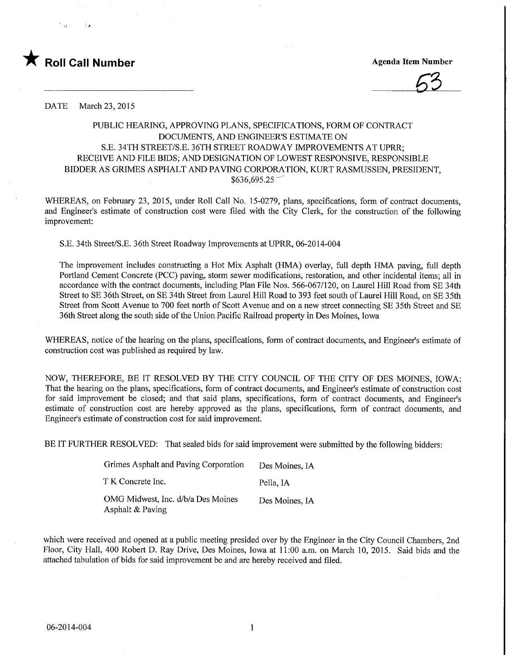

**Agenda Item Number** 

DATE March 23, 2015

## PUBLIC HEARING, APPROVING PLANS, SPECIFICATIONS, FORM OF CONTRACT DOCUMENTS, AND ENGINEER'S ESTIMATE ON S.E. 34TH STREET/S.E. 36TH STREET ROADWAY IMPROVEMENTS AT UPRR; RECEIVE AND FILE BIDS; AND DESIGNATION OF LOWEST RESPONSIVE, RESPONSIBLE BIDDER AS GRIMES ASPHALT AND PAVING CORPORATION, KURT RASMUSSEN, PRESIDENT,  $$636,695.25$ <sup>-</sup>

WHEREAS, on February 23, 2015, under Roll Call No. 15-0279, plans, specifications, form of contract documents, and Engineer's estimate of construction cost were filed with the City Clerk, for the construction of the following improvement:

S.E. 34th Street/S.E. 36th Street Roadway Improvements at UPRR, 06-2014-004

The improvement includes constructing a Hot Mix Asphalt (HMA) overlay, full depth HMA paving, full depth Portland Cement Concrete (PCC) paving, storm sewer modifications, restoration, and other incidental items; all in accordance with the contract documents, including Plan File Nos. 566-067/120, on Laurel Hill Road from SE 34th Street to SE 36th Street, on SE 34th Street from Laurel Hill Road to 393 feet south of Laurel Hill Road, on SE 35th Street from Scott Avenue to 700 feet north of Scott Avenue and on a new street connecting SE 35th Street and SE 36th Street along the south side of the Union Pacific Railroad property in Des Moines, Iowa

WHEREAS, notice of the hearing on the plans, specifications, form of contract documents, and Engineer's estimate of construction cost was published as required by law.

NOW, THEREFORE, BE IT RESOLVED BY THE CITY COUNCIL OF THE CITY OF DES MOINES, IOWA: That the hearing on the plans, specifications, form of contract documents, and Engineer's estimate of construction cost for said improvement be closed; and that said plans, specifications, form of contract documents, and Engineer's estimate of construction cost are hereby approved as the plans, specifications, form of contract documents, and Engineer's estimate of construction cost for said improvement.

BE IT FURTHER RESOLVED: That sealed bids for said improvement were submitted by the following bidders:

| Grimes Asphalt and Paving Corporation                  | Des Moines. IA |
|--------------------------------------------------------|----------------|
| T K Concrete Inc.                                      | Pella. IA      |
| OMG Midwest, Inc. d/b/a Des Moines<br>Asphalt & Paving | Des Moines, IA |

which were received and opened at a public meeting presided over by the Engineer in the City Council Chambers, 2nd Floor, City Hall, 400 Robert D. Ray Drive, Des Moines, Iowa at 11:00 a.m. on March 10, 2015. Said bids and the attached tabulation of bids for said improvement be and are hereby received and filed.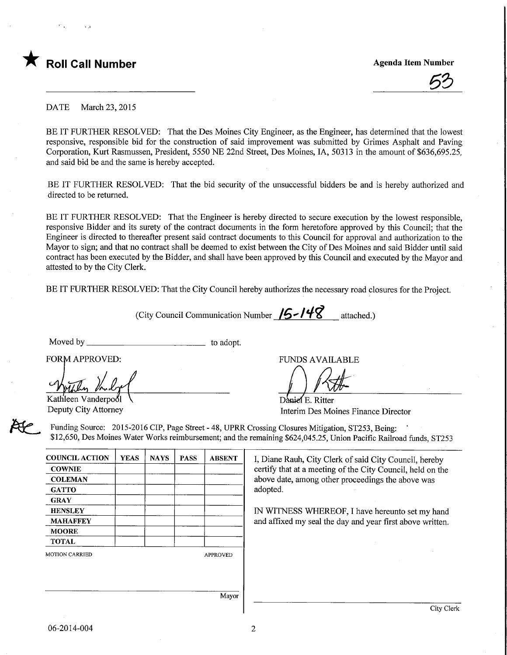

53

DATE March 23, 2015

BE IT FURTHER RESOLVED: That the Des Moines City Engineer, as the Engineer, has determined that the lowest responsive, responsible bid for the construction of said improvement was submitted by Grimes Asphalt and Paving Corporation, Kurt Rasmussen, President, 5550 NE 22nd Street, Des Moines, IA, 50313 in the amount of \$636,695.25, and said bid be and the same is hereby accepted.

BE IT FURTHER RESOLVED: That the bid security of the unsuccessful bidders be and is hereby authorized and directed to be returned.

BE IT FURTHER RESOLVED: That the Engineer is hereby directed to secure execution by the lowest responsible, responsive Bidder and its surety of the contract documents in the form heretofore approved by this Council; that the Engineer is directed to thereafter present said contract documents to this Council for approval and authorization to the Mayor to sign; and that no contract shall be deemed to exist between the City of Des Moines and said Bidder until said contract has been executed by the Bidder, and shall have been approved by this Council and executed by the Mayor and attested to by the City Clerk.

BE IT FURTHER RESOLVED: That the City Council hereby authorizes the necessary road closures for the Project.

(City Council Communication Number  $/5$ - $/48$  attached.)

Moved by \_\_\_

to adopt.

YEAS | NAYS | PASS | ABSENT

FORM APPROVED:

Kathleen Vanderpool Deputy City Attorney

COUNCIL ACTION **COWNIE COLEMAN GATTO GRAY HENSLEY** MAHAFFEY **MOORE** TOTAL

FUNDS AVAILABLE

Daniel E. Ritter

Interim Des Moines Finance Director

Funding Source: 2015-2016 CIP, Page Street - 48, UPRR Crossing Closures Mitigation, ST253, Being: \$12,650, Des Moines Water Works reimbursement; and the remaining \$624,045.25, Union Pacific Railroad funds, ST253

> I, Diane Rauh, City Clerk of said City Council, hereby certify that at a meeting of the City Council, held on the above date, among other proceedings the above was adopted.

IN WITNESS WHEREOF, I have hereunto set my hand and affixed my seal the day and year first above written.

| MOTION CARRIED |
|----------------|
|                |

APPROVED

Mayor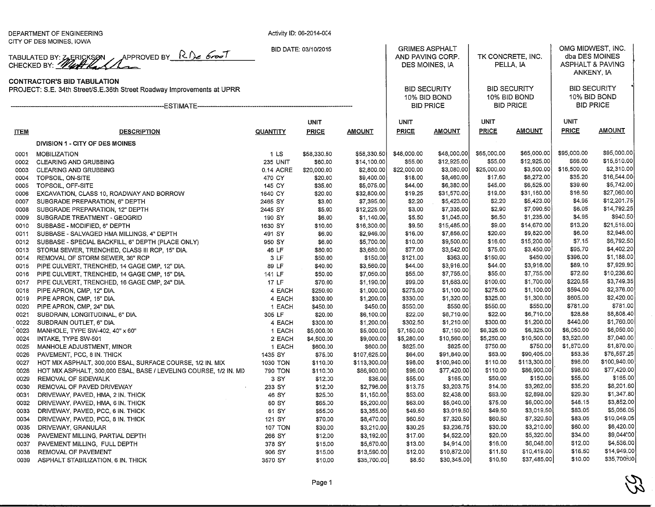|                                                                                                              | DEPARTMENT OF ENGINEERING<br>CITY OF DES MOINES, IOWA                      | Activity ID: 06-2014-004 |                    |                          |                                                             |                           |                                     |                           |                                                                    |                            |
|--------------------------------------------------------------------------------------------------------------|----------------------------------------------------------------------------|--------------------------|--------------------|--------------------------|-------------------------------------------------------------|---------------------------|-------------------------------------|---------------------------|--------------------------------------------------------------------|----------------------------|
| TABULATED BY: Z, ERICKSON APPROVED BY R.D. 6000T                                                             |                                                                            | BID DATE: 03/10/2015     |                    |                          | <b>GRIMES ASPHALT</b><br>AND PAVING CORP.<br>DES MOINES, IA |                           | TK CONCRETE, INC.<br>PELLA, IA      |                           | OMG MIDWEST, INC.<br>dba DES MOINES<br><b>ASPHALT &amp; PAVING</b> |                            |
|                                                                                                              |                                                                            |                          |                    |                          |                                                             |                           |                                     |                           | ANKENY, IA                                                         |                            |
| <b>CONTRACTOR'S BID TABULATION</b><br>PROJECT: S.E. 34th Street/S.E.36th Street Roadway Improvements at UPRR |                                                                            |                          |                    |                          | <b>BID SECURITY</b><br>10% BID BOND                         |                           | <b>BID SECURITY</b><br>10% BID BOND |                           | <b>BID SECURITY</b><br>10% BID BOND                                |                            |
|                                                                                                              |                                                                            |                          |                    |                          | <b>BID PRICE</b>                                            |                           | <b>BID PRICE</b>                    |                           | <b>BID PRICE</b>                                                   |                            |
|                                                                                                              |                                                                            |                          | <b>UNIT</b>        |                          | <b>UNIT</b>                                                 |                           | UNIT                                |                           | <b>UNIT</b>                                                        |                            |
| <u>ITEM</u>                                                                                                  | <b>DESCRIPTION</b>                                                         | QUANTITY                 | <b>PRICE</b>       | <b>AMOUNT</b>            | PRICE                                                       | <b>AMOUNT</b>             | <b>PRICE</b>                        | <b>AMOUNT</b>             | <b>PRICE</b>                                                       | <b>AMOUNT</b>              |
|                                                                                                              | DIVISION 1 - CITY OF DES MOINES                                            |                          |                    |                          |                                                             |                           |                                     |                           |                                                                    |                            |
|                                                                                                              |                                                                            |                          |                    |                          |                                                             |                           |                                     |                           |                                                                    |                            |
| 0001                                                                                                         | MOBILIZATION                                                               | 1 LS                     | \$58,330.50        | \$58,330.50              | \$48,000.00                                                 | \$48,000.00               | \$65,000.00                         | \$65,000.00               | \$95,000.00<br>\$66.00                                             | \$95,000.00<br>\$15,510.00 |
|                                                                                                              | 0002 CLEARING AND GRUBBING                                                 | <b>235 UNIT</b>          | \$60.00            | \$14,100.00              | \$55.00                                                     | \$12,925.00<br>\$3,080.00 | \$55.00                             | \$12,925.00<br>\$3,500.00 | \$16,500.00                                                        | \$2,310.00                 |
| 0003                                                                                                         | CLEARING AND GRUBBING                                                      | 0.14 ACRE                | \$20,000.00        | \$2,800.00               | \$22,000.00                                                 |                           | \$25,000.00<br>\$17.60              | \$8,272.00                | \$35.20                                                            | \$16,544.00                |
| 0004                                                                                                         | TOPSOIL, ON-SITE                                                           | 470 CY<br>145 CY         | \$20.00            | \$9,400.00<br>\$5,075.00 | \$18.00<br>\$44.00                                          | \$8,460.00<br>\$6,380.00  | \$45.00                             | \$6,525.00                | \$39.60                                                            | \$5,742.00                 |
| 0005<br>0006                                                                                                 | TOPSOIL, OFF-SITE                                                          |                          | \$35.00<br>\$20.00 | \$32,800.00              | \$19.25                                                     | \$31,570.00               | \$19.00                             | \$31,160.00               | \$16.50                                                            | \$27,060.00                |
| 0007                                                                                                         | EXCAVATION, CLASS 10, ROADWAY AND BORROW<br>SUBGRADE PREPARATION, 6" DEPTH | 1640 CY<br>2465 SY       | \$3.00             | \$7,395,00               | \$2.20                                                      | \$5,423.00                | \$2.20                              | \$5,423.00                | \$4.95                                                             | \$12,201.75                |
| 0008                                                                                                         | SUBGRADE PREPARATION, 12" DEPTH                                            | 2445 SY                  | \$5.00             | \$12,225.00              | \$3.00                                                      | \$7,335.00                | \$2.90                              | \$7,090.50                | \$6.05                                                             | \$14,792.25                |
| 0009                                                                                                         | SUBGRADE TREATMENT - GEOGRID                                               | 190 SY                   | \$6,00             | \$1,140.00               | \$5.50                                                      | \$1,045.00                | \$6.50                              | \$1,235.00                | \$4.95                                                             | \$940.50                   |
|                                                                                                              | 0010 SUBBASE - MODIFIED, 6" DEPTH                                          | 1630 SY                  |                    | \$16,300.00              | \$9.50                                                      | \$15,485.00               | \$9.00                              | \$14,670.00               | \$13.20                                                            | \$21,516.00                |
|                                                                                                              |                                                                            | 491 SY                   | \$10.00<br>\$6,00  | \$2,946.00               | \$16.00                                                     | \$7,856.00                | \$20.00                             | \$9,820.00                | \$6.00                                                             | \$2,946.00                 |
|                                                                                                              | 0011 SUBBASE - SALVAGED HMA MILLINGS, 4" DEPTH                             |                          |                    |                          |                                                             | \$9,500.00                | \$16.00                             | \$15,200.00               | \$7.15                                                             | \$6,792.50                 |
|                                                                                                              | 0012 SUBBASE - SPECIAL BACKFILL, 6" DEPTH (PLACE ONLY)                     | 950 SY                   | \$6.00             | \$5,700.00               | \$10.00                                                     |                           | \$75.00                             | \$3,450.00                | \$95.70                                                            | \$4,402.20                 |
| 0013                                                                                                         | STORM SEWER, TRENCHED, CLASS III RCP, 15" DIA.                             | 46 LF                    | \$80.00            | \$3,680.00               | \$77.00                                                     | \$3,542.00                |                                     | \$450.00                  | \$396.00                                                           | \$1,188.00                 |
| 0014                                                                                                         | REMOVAL OF STORM SEWER, 36" RCP                                            | 3 LF                     | \$50.00            | \$150.00                 | \$121.00                                                    | \$363.00                  | \$150.00                            |                           | \$89.10                                                            | \$7,929.90                 |
|                                                                                                              | 0015 PIPE CULVERT, TRENCHED, 14 GAGE CMP, 12" DIA.                         | 89 LF                    | \$40.00            | \$3,560.00               | \$44.00                                                     | \$3,916.00                | \$44.00                             | \$3,916.00                | \$72.60                                                            | \$10,236.60                |
| 0016                                                                                                         | PIPE CULVERT, TRENCHED, 14 GAGE CMP, 15" DIA.                              | 141 LF                   | \$50.00            | \$7,050.00               | \$55.00                                                     | \$7,755.00                | \$55.00                             | \$7,755.00                |                                                                    |                            |
|                                                                                                              | 0017 PIPE CULVERT, TRENCHED, 16 GAGE CMP, 24" DIA.                         | 17 LF                    | \$70.00            | \$1,190.00               | \$99.00                                                     | \$1,683.00                | \$100.00                            | \$1,700.00                | \$220.55                                                           | \$3,749.35                 |
| 0018                                                                                                         | PIPE APRON, CMP, 12" DIA.                                                  | 4 EACH                   | \$250.00           | \$1,000.00               | \$275.00                                                    | \$1,100.00                | \$275.00                            | \$1,100.00                | \$594.00                                                           | \$2,376.00                 |
| 0019                                                                                                         | PIPE APRON, CMP, 15" DIA.                                                  | 4 EACH                   | \$300.00           | \$1,200.00               | \$330.00                                                    | \$1,320.00                | \$325.00                            | \$1,300.00                | \$605.00                                                           | \$2,420.00                 |
| 0020                                                                                                         | PIPE APRON, CMP, 24" DIA.                                                  | 1 EACH                   | \$450.00           | \$450.00                 | \$550.00                                                    | \$550.00                  | \$550.00                            | \$550.00                  | \$781.00                                                           | \$781.00                   |
| 0021                                                                                                         | SUBDRAIN, LONGITUDINAL, 6" DIA.                                            | 305 LF                   | \$20.00            | \$6,100.00               | \$22.00                                                     | \$6,710.00                | \$22.00                             | \$6,710.00                | \$28.88                                                            | \$8,808.40                 |
| 0022                                                                                                         | SUBDRAIN OUTLET, 6" DIA.                                                   | 4 EACH                   | \$300.00           | \$1,200.00               | \$302.50                                                    | \$1,210.00                | \$300.00                            | \$1,200.00                | \$440.00                                                           | \$1,760.00                 |
| 0023                                                                                                         | MANHOLE, TYPE SW-402, 40" x 60"                                            | 1 EACH                   | \$5,000.00         | \$5,000.00               | \$7,150.00                                                  | \$7,150.00                | \$6,325.00                          | \$6,325.00                | \$6,050.00                                                         | \$6,050.00                 |
| 0024                                                                                                         | INTAKE, TYPE SW-501                                                        | 2 EACH                   | \$4,500.00         | \$9,000.00               | \$5,280.00                                                  | \$10,560.00               | \$5,250.00                          | \$10,500.00               | \$3,520.00                                                         | \$7,040.00                 |
| 0025                                                                                                         | MANHOLE ADJUSTMENT, MINOR                                                  | 1 EACH                   | \$600.00           | \$600.00                 | \$825.00                                                    | \$825.00                  | \$750.00                            | \$750.00                  | \$1,870.00                                                         | \$1,870.00                 |
| 0026                                                                                                         | PAVEMENT, PCC, 8 IN. THICK                                                 | 1435 SY                  | \$75.00            | \$107,625.00             | \$64.00                                                     | \$91,840.00               | \$63.00                             | \$90,405.00               | \$53.35                                                            | \$76,557.25                |
| 0027                                                                                                         | HOT MIX ASPHALT, 300,000 ESAL, SURFACE COURSE, 1/2 IN. MIX                 | 1030 TON                 | \$110.00           | \$113,300.00             | \$98.00                                                     | \$100,940.00              | \$110.00                            | \$113,300.00              | \$98.00                                                            | \$100,940.00               |
| 0028                                                                                                         | HOT MIX ASPHALT, 300,000 ESAL, BASE / LEVELING COURSE, 1/2 IN. MIX         | 790 TON                  | \$110.00           | \$86,900.00              | \$98.00                                                     | \$77,420.00               | \$110.00                            | \$86,900.00               | \$98.00                                                            | \$77,420.00                |
| 0029                                                                                                         | REMOVAL OF SIDEWALK                                                        | 3 SY                     | \$12.00            | \$36.00                  | \$55.00                                                     | \$165,00                  | \$50.00                             | \$150.00                  | \$55.00                                                            | \$165.00                   |
| 0030                                                                                                         | REMOVAL OF PAVED DRIVEWAY                                                  | 233 SY                   | \$12.00            | \$2,796.00               | \$13.75                                                     | \$3,203.75                | \$14.00                             | \$3,262.00                | \$35.20                                                            | \$8,201.60                 |
| 0031                                                                                                         | DRIVEWAY, PAVED, HMA, 2 IN. THICK                                          | 46 SY                    | \$25.00            | \$1,150.00               | \$53.00                                                     | \$2,438.00                | \$63.00                             | \$2,898.00                | \$29.30                                                            | \$1,347.80                 |
| 0032                                                                                                         | DRIVEWAY, PAVED, HMA, 6 IN. THICK                                          | 80 SY                    | \$65.00            | \$5,200.00               | \$63.00                                                     | \$5,040.00]               | \$75.00                             | \$6,000.00                | \$48.15                                                            | \$3,852.00                 |
| 0033                                                                                                         | DRIVEWAY, PAVED, PCC, 6 IN. THICK                                          | 61 SY                    | \$55.00            | \$3,355.00               | \$49.50                                                     | \$3,019.50                | \$49.50                             | \$3,019.50                | \$83.05                                                            | \$5,066.05                 |
| 0034                                                                                                         | DRIVEWAY, PAVED, PCC, 8 IN. THICK                                          | 121 SY                   | \$70.00            | \$8,470.00               | \$60.50                                                     | \$7,320.50                | \$60.50                             | \$7,320.50                | \$83.05                                                            | \$10,049.05                |
| 0035                                                                                                         | DRIVEWAY, GRANULAR                                                         | <b>107 TON</b>           | \$30.00            | \$3,210.00               | \$30.25                                                     | \$3,236.75                | \$30.00                             | \$3,210.00                | \$60.00                                                            | \$6,420.00                 |
| 0036                                                                                                         | PAVEMENT MILLING, PARTIAL DEPTH                                            | 266 SY                   | \$12.00            | \$3,192.00               | \$17.00                                                     | \$4,522.00                | \$20.00                             | \$5,320.00                | \$34,00                                                            | \$9,044.00                 |
| 0037                                                                                                         | PAVEMENT MILLING, FULL DEPTH                                               | 378 SY                   | \$15.00            | \$5,670.00               | \$13.00                                                     | \$4,914.00                | \$16.00                             | \$6,048.00                | \$12.00                                                            | \$4,536.00                 |
| 0038                                                                                                         | REMOVAL OF PAVEMENT                                                        | 906 SY                   | \$15.00            | \$13,590.00              | \$12.00                                                     | \$10,872.00               | \$11.50                             | \$10,419.00               | \$16.50                                                            | \$14,949.00                |
| 0039                                                                                                         | ASPHALT STABILIZATION, 6 IN. THICK                                         | 3570 SY                  | \$10.00            | \$35,700.00              | \$8.50                                                      | \$30,345.00               | \$10.50                             | \$37,485.00               | \$10.00                                                            | \$35,700,00                |

 $\mathcal{Z}$